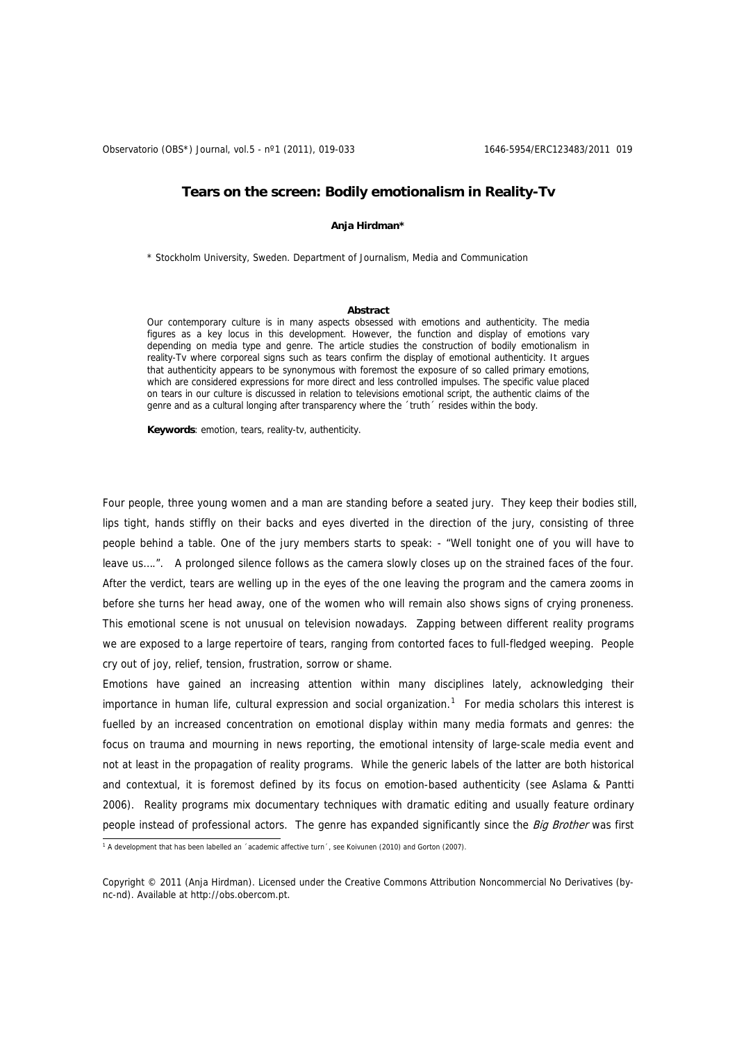Observatorio (OBS\*) Journal, vol.5 - nº1 (2011), 019-033 1646-5954/ERC123483/2011 019

# **Tears on the screen: Bodily emotionalism in Reality-Tv**

## **Anja Hirdman\***

\* Stockholm University, Sweden. Department of Journalism, Media and Communication

#### **Abstract**

Our contemporary culture is in many aspects obsessed with emotions and authenticity. The media figures as a key locus in this development. However, the function and display of emotions vary depending on media type and genre. The article studies the construction of bodily emotionalism in reality-Tv where corporeal signs such as tears confirm the display of emotional authenticity. It argues that authenticity appears to be synonymous with foremost the exposure of so called primary emotions, which are considered expressions for more direct and less controlled impulses. The specific value placed on tears in our culture is discussed in relation to televisions emotional script, the authentic claims of the genre and as a cultural longing after transparency where the ´truth´ resides within the body.

**Keywords**: emotion, tears, reality-tv, authenticity.

Four people, three young women and a man are standing before a seated jury. They keep their bodies still, lips tight, hands stiffly on their backs and eyes diverted in the direction of the jury, consisting of three people behind a table. One of the jury members starts to speak: - "Well tonight one of you will have to leave us….". A prolonged silence follows as the camera slowly closes up on the strained faces of the four. After the verdict, tears are welling up in the eyes of the one leaving the program and the camera zooms in before she turns her head away, one of the women who will remain also shows signs of crying proneness. This emotional scene is not unusual on television nowadays. Zapping between different reality programs we are exposed to a large repertoire of tears, ranging from contorted faces to full-fledged weeping. People cry out of joy, relief, tension, frustration, sorrow or shame.

Emotions have gained an increasing attention within many disciplines lately, acknowledging their importance in human life, cultural expression and social organization.<sup>[1](#page-0-0)</sup> For media scholars this interest is fuelled by an increased concentration on emotional display within many media formats and genres: the focus on trauma and mourning in news reporting, the emotional intensity of large-scale media event and not at least in the propagation of reality programs. While the generic labels of the latter are both historical and contextual, it is foremost defined by its focus on emotion-based authenticity (see Aslama & Pantti 2006). Reality programs mix documentary techniques with dramatic editing and usually feature ordinary people instead of professional actors. The genre has expanded significantly since the Big Brother was first

<span id="page-0-0"></span><sup>&</sup>lt;sup>1</sup> A development that has been labelled an ´academic affective turn´, see Koivunen (2010) and Gorton (2007).

Copyright © 2011 (Anja Hirdman). Licensed under the Creative Commons Attribution Noncommercial No Derivatives (bync-nd). Available at http://obs.obercom.pt.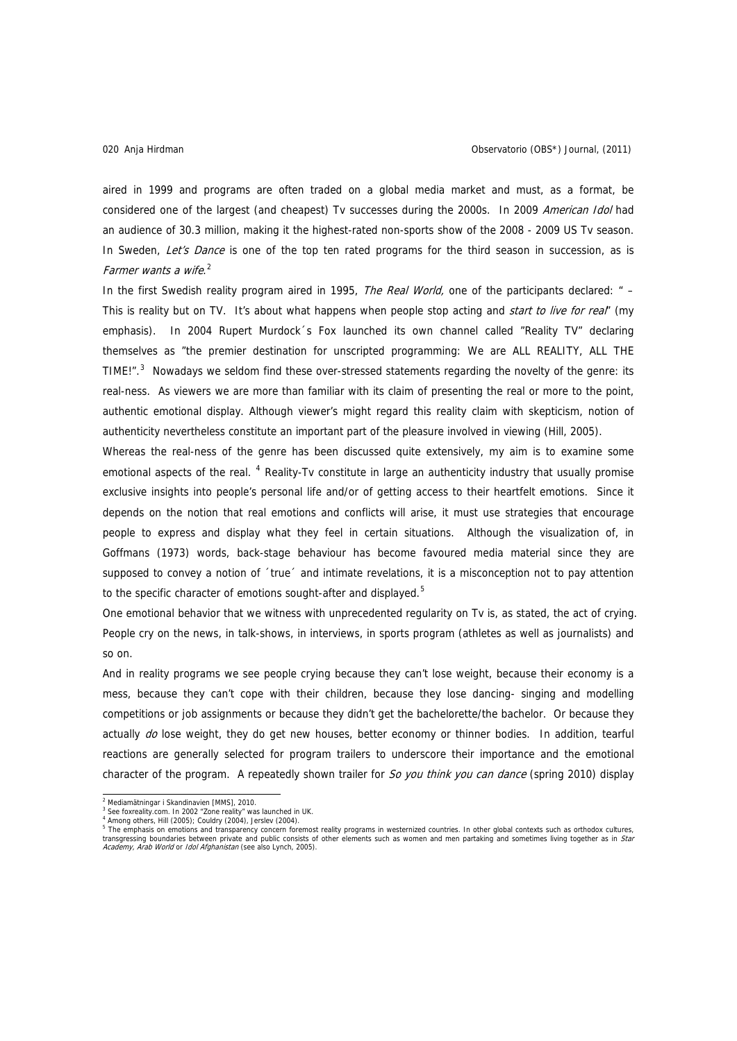aired in 1999 and programs are often traded on a global media market and must, as a format, be considered one of the largest (and cheapest) Tv successes during the 2000s. In 2009 American Idol had an audience of 30.3 million, making it the highest-rated non-sports show of the 2008 - 2009 US Tv season. In Sweden, Let's Dance is one of the top ten rated programs for the third season in succession, as is Farmer wants a wife.<sup>[2](#page-1-0)</sup>

In the first Swedish reality program aired in 1995, The Real World, one of the participants declared: " -This is reality but on TV. It's about what happens when people stop acting and *start to live for real*" (my emphasis). In 2004 Rupert Murdock s Fox launched its own channel called "Reality TV" declaring themselves as "the premier destination for unscripted programming: We are ALL REALITY, ALL THE TIME!". $3$  Nowadays we seldom find these over-stressed statements regarding the novelty of the genre: its real-ness. As viewers we are more than familiar with its claim of presenting the real or more to the point, authentic emotional display. Although viewer's might regard this reality claim with skepticism, notion of authenticity nevertheless constitute an important part of the pleasure involved in viewing (Hill, 2005).

Whereas the real-ness of the genre has been discussed quite extensively, my aim is to examine some emotional aspects of the real. <sup>[4](#page-1-2)</sup> Reality-Tv constitute in large an authenticity industry that usually promise exclusive insights into people's personal life and/or of getting access to their heartfelt emotions. Since it depends on the notion that real emotions and conflicts will arise, it must use strategies that encourage people to express and display what they feel in certain situations. Although the visualization of, in Goffmans (1973) words, back-stage behaviour has become favoured media material since they are supposed to convey a notion of 'true' and intimate revelations, it is a misconception not to pay attention to the specific character of emotions sought-after and displayed. $5$ 

One emotional behavior that we witness with unprecedented regularity on Tv is, as stated, the act of crying. People cry on the news, in talk-shows, in interviews, in sports program (athletes as well as journalists) and so on.

And in reality programs we see people crying because they can't lose weight, because their economy is a mess, because they can't cope with their children, because they lose dancing- singing and modelling competitions or job assignments or because they didn't get the bachelorette/the bachelor. Or because they actually do lose weight, they do get new houses, better economy or thinner bodies. In addition, tearful reactions are generally selected for program trailers to underscore their importance and the emotional character of the program. A repeatedly shown trailer for So you think you can dance (spring 2010) display

<span id="page-1-0"></span><sup>&</sup>lt;sup>2</sup> Mediamätningar i Skandinavien [MMS], 2010.

<span id="page-1-1"></span><sup>&</sup>lt;sup>3</sup> See foxreality.com. In 2002 "Zone reality" was launched in UK.<br><sup>4</sup> Among others, Hill (2005); Couldry (2004), Jerslev (2004).

<span id="page-1-3"></span><span id="page-1-2"></span><sup>&</sup>lt;sup>5</sup> The emphasis on emotions and transparency concern foremost reality programs in westernized countries. In other global contexts such as orthodox cultures, transgressing boundaries between private and public consists of other elements such as women and men partaking and sometimes living together as in *Star*<br>*Academy, Arab World* or *Idol Afghanistan* (see also Lynch, 2005).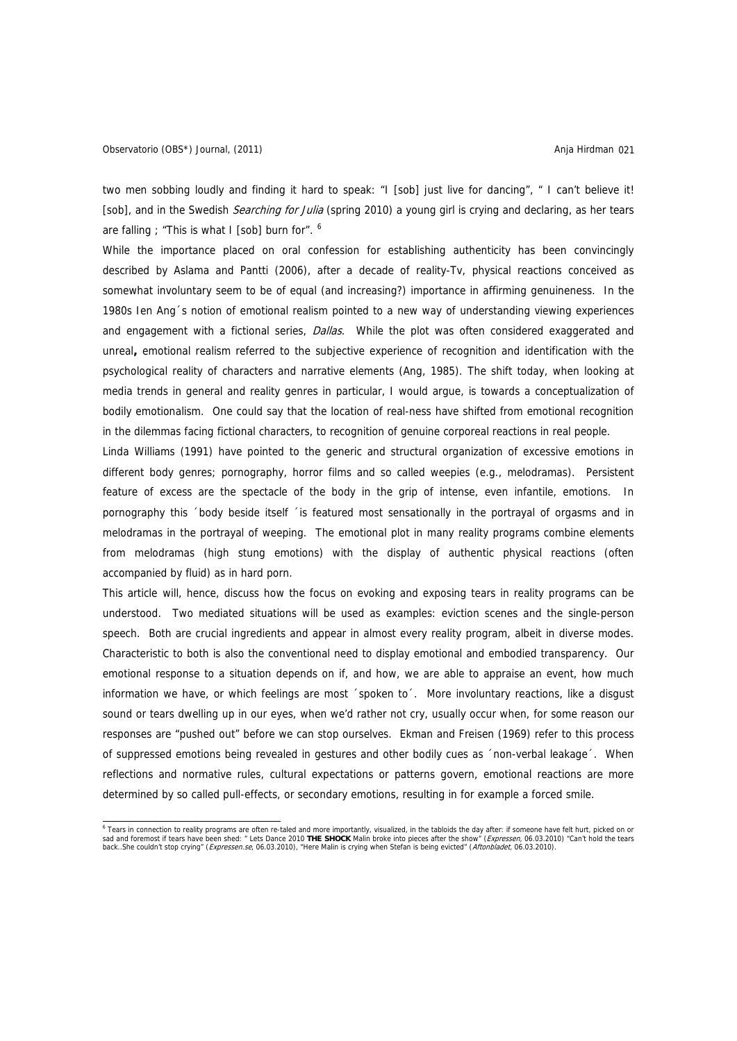two men sobbing loudly and finding it hard to speak: "I [sob] just live for dancing", " I can't believe it! [sob], and in the Swedish Searching for Julia (spring 2010) a young girl is crying and declaring, as her tears are falling ; "This is what I [sob] burn for".  $6$ 

While the importance placed on oral confession for establishing authenticity has been convincingly described by Aslama and Pantti (2006), after a decade of reality-Tv, physical reactions conceived as somewhat involuntary seem to be of equal (and increasing?) importance in affirming genuineness. In the 1980s Ien Ang´s notion of emotional realism pointed to a new way of understanding viewing experiences and engagement with a fictional series, Dallas. While the plot was often considered exaggerated and unreal**,** emotional realism referred to the subjective experience of recognition and identification with the psychological reality of characters and narrative elements (Ang, 1985). The shift today, when looking at media trends in general and reality genres in particular, I would argue, is towards a conceptualization of bodily emotionalism. One could say that the location of real-ness have shifted from emotional recognition in the dilemmas facing fictional characters, to recognition of genuine corporeal reactions in real people.

Linda Williams (1991) have pointed to the generic and structural organization of excessive emotions in different body genres; pornography, horror films and so called weepies (e.g., melodramas). Persistent feature of excess are the spectacle of the body in the grip of intense, even infantile, emotions. In pornography this ´body beside itself ´is featured most sensationally in the portrayal of orgasms and in melodramas in the portrayal of weeping. The emotional plot in many reality programs combine elements from melodramas (high stung emotions) with the display of authentic physical reactions (often accompanied by fluid) as in hard porn.

This article will, hence, discuss how the focus on evoking and exposing tears in reality programs can be understood. Two mediated situations will be used as examples: eviction scenes and the single-person speech. Both are crucial ingredients and appear in almost every reality program, albeit in diverse modes. Characteristic to both is also the conventional need to display emotional and embodied transparency. Our emotional response to a situation depends on if, and how, we are able to appraise an event, how much information we have, or which feelings are most ´spoken to´. More involuntary reactions, like a disgust sound or tears dwelling up in our eyes, when we'd rather not cry, usually occur when, for some reason our responses are "pushed out" before we can stop ourselves. Ekman and Freisen (1969) refer to this process of suppressed emotions being revealed in gestures and other bodily cues as ´non-verbal leakage´. When reflections and normative rules, cultural expectations or patterns govern, emotional reactions are more determined by so called pull-effects, or secondary emotions, resulting in for example a forced smile.

<span id="page-2-0"></span>e<br>Tears in connection to reality programs are often re-taled and more importantly, visualized, in the tabloids the day after: if someone have felt hurt, picked on or "<br>sad and foremost if tears have been shed: " Lets Dance back..She couldn't stop crying" (Expressen.se, 06.03.2010), "Here Malin is crying when Stefan is being evicted" (Aftonbladet, 06.03.2010).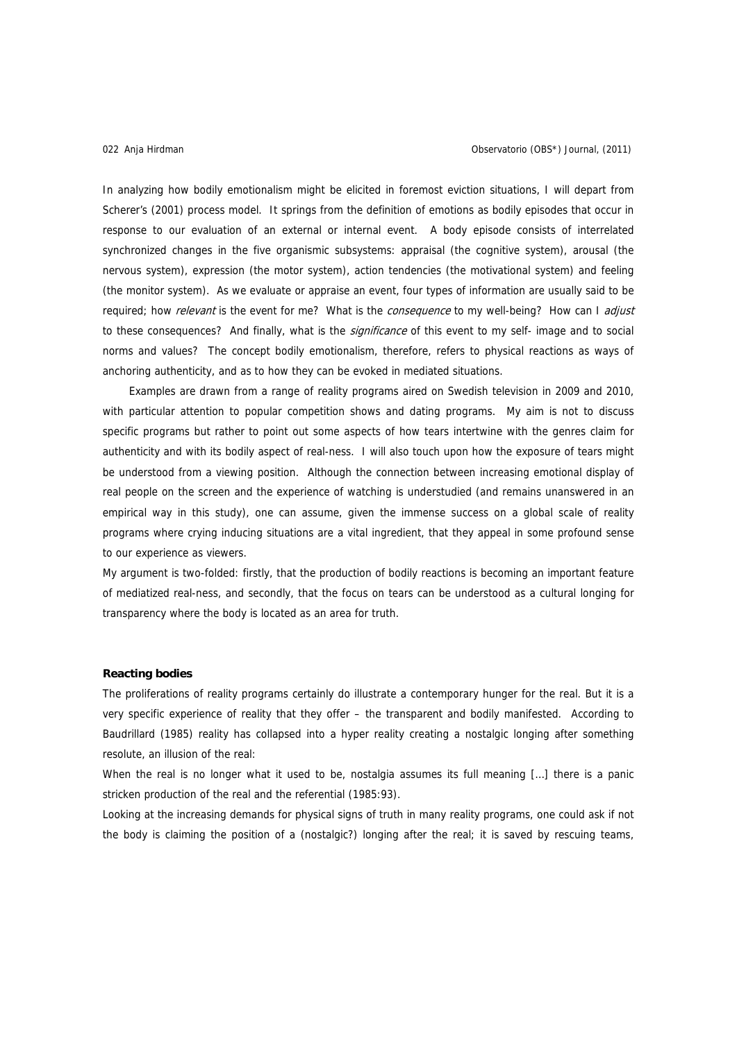#### Anja Hirdman 022 Observatorio (OBS\*) Journal, (2011)

In analyzing how bodily emotionalism might be elicited in foremost eviction situations, I will depart from Scherer's (2001) process model. It springs from the definition of emotions as bodily episodes that occur in response to our evaluation of an external or internal event. A body episode consists of interrelated synchronized changes in the five organismic subsystems: appraisal (the cognitive system), arousal (the nervous system), expression (the motor system), action tendencies (the motivational system) and feeling (the monitor system). As we evaluate or appraise an event, four types of information are usually said to be required; how *relevant* is the event for me? What is the *consequence* to my well-being? How can I adjust to these consequences? And finally, what is the *significance* of this event to my self- image and to social norms and values? The concept bodily emotionalism, therefore, refers to physical reactions as ways of anchoring authenticity, and as to how they can be evoked in mediated situations.

Examples are drawn from a range of reality programs aired on Swedish television in 2009 and 2010, with particular attention to popular competition shows and dating programs. My aim is not to discuss specific programs but rather to point out some aspects of how tears intertwine with the genres claim for authenticity and with its bodily aspect of real-ness. I will also touch upon how the exposure of tears might be understood from a viewing position. Although the connection between increasing emotional display of real people on the screen and the experience of watching is understudied (and remains unanswered in an empirical way in this study), one can assume, given the immense success on a global scale of reality programs where crying inducing situations are a vital ingredient, that they appeal in some profound sense to our experience as viewers.

My argument is two-folded: firstly, that the production of bodily reactions is becoming an important feature of mediatized real-ness, and secondly, that the focus on tears can be understood as a cultural longing for transparency where the body is located as an area for truth.

# **Reacting bodies**

The proliferations of reality programs certainly do illustrate a contemporary hunger for the real. But it is a very specific experience of reality that they offer – the transparent and bodily manifested. According to Baudrillard (1985) reality has collapsed into a hyper reality creating a nostalgic longing after something resolute, an illusion of the real:

When the real is no longer what it used to be, nostalgia assumes its full meaning […] there is a panic stricken production of the real and the referential (1985:93).

Looking at the increasing demands for physical signs of truth in many reality programs, one could ask if not the body is claiming the position of a (nostalgic?) longing after the real; it is saved by rescuing teams,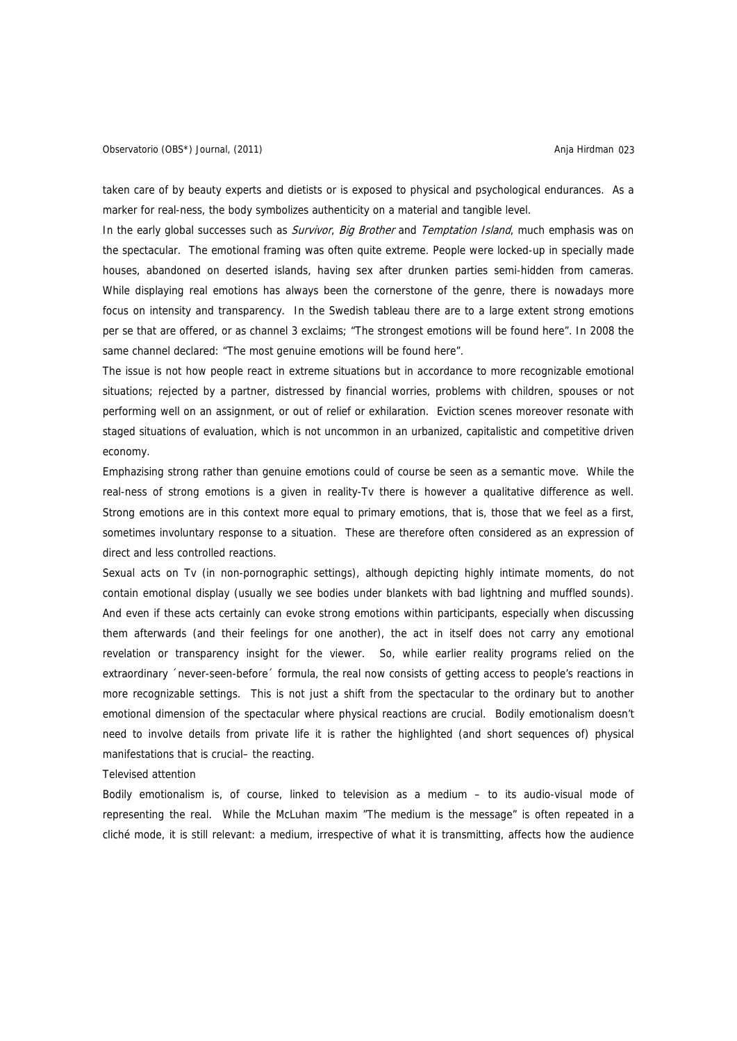taken care of by beauty experts and dietists or is exposed to physical and psychological endurances. As a marker for real-ness, the body symbolizes authenticity on a material and tangible level.

In the early global successes such as *Survivor, Big Brother* and *Temptation Island*, much emphasis was on the spectacular. The emotional framing was often quite extreme. People were locked-up in specially made houses, abandoned on deserted islands, having sex after drunken parties semi-hidden from cameras. While displaying real emotions has always been the cornerstone of the genre, there is nowadays more focus on intensity and transparency. In the Swedish tableau there are to a large extent strong emotions per se that are offered, or as channel 3 exclaims; "The strongest emotions will be found here". In 2008 the same channel declared: "The most genuine emotions will be found here".

The issue is not how people react in extreme situations but in accordance to more recognizable emotional situations; rejected by a partner, distressed by financial worries, problems with children, spouses or not performing well on an assignment, or out of relief or exhilaration. Eviction scenes moreover resonate with staged situations of evaluation, which is not uncommon in an urbanized, capitalistic and competitive driven economy.

Emphazising strong rather than genuine emotions could of course be seen as a semantic move. While the real-ness of strong emotions is a given in reality-Tv there is however a qualitative difference as well. Strong emotions are in this context more equal to primary emotions, that is, those that we feel as a first, sometimes involuntary response to a situation. These are therefore often considered as an expression of direct and less controlled reactions.

Sexual acts on Tv (in non-pornographic settings), although depicting highly intimate moments, do not contain emotional display (usually we see bodies under blankets with bad lightning and muffled sounds). And even if these acts certainly can evoke strong emotions within participants, especially when discussing them afterwards (and their feelings for one another), the act in itself does not carry any emotional revelation or transparency insight for the viewer. So, while earlier reality programs relied on the extraordinary ´never-seen-before´ formula, the real now consists of getting access to people's reactions in more recognizable settings. This is not just a shift from the spectacular to the ordinary but to another emotional dimension of the spectacular where physical reactions are crucial. Bodily emotionalism doesn't need to involve details from private life it is rather the highlighted (and short sequences of) physical manifestations that is crucial– the reacting.

#### Televised attention

Bodily emotionalism is, of course, linked to television as a medium – to its audio-visual mode of representing the real. While the McLuhan maxim "The medium is the message" is often repeated in a cliché mode, it is still relevant: a medium, irrespective of what it is transmitting, affects how the audience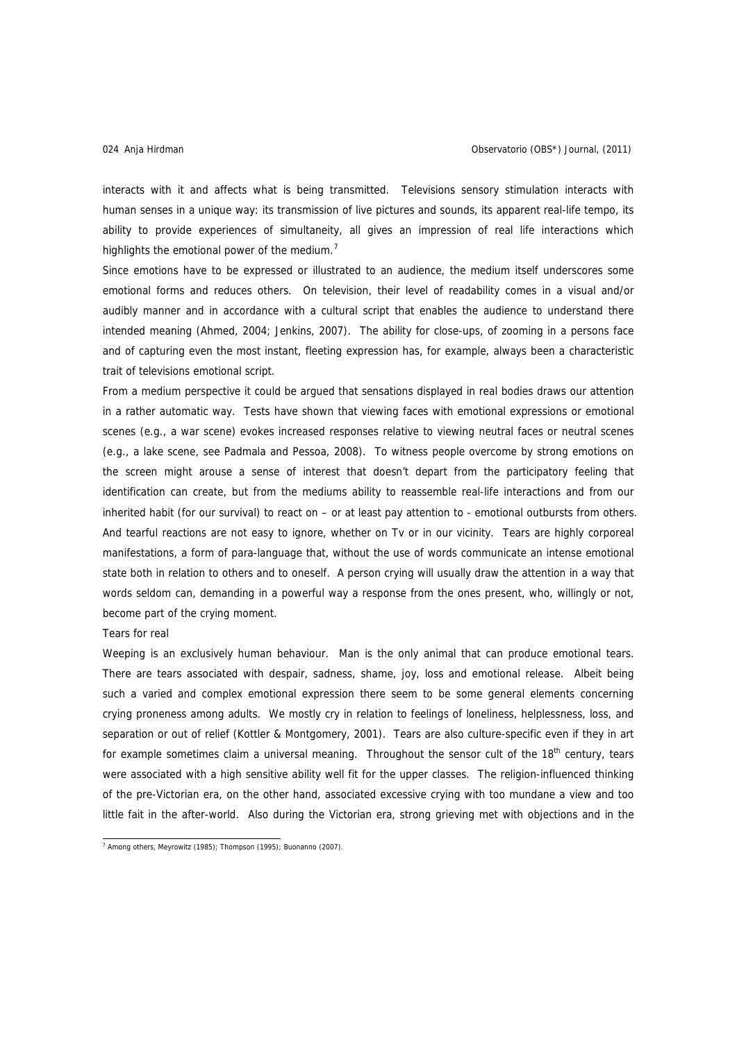interacts with it and affects what is being transmitted. Televisions sensory stimulation interacts with human senses in a unique way: its transmission of live pictures and sounds, its apparent real-life tempo, its ability to provide experiences of simultaneity, all gives an impression of real life interactions which highlights the emotional power of the medium. $<sup>7</sup>$  $<sup>7</sup>$  $<sup>7</sup>$ </sup>

Since emotions have to be expressed or illustrated to an audience, the medium itself underscores some emotional forms and reduces others. On television, their level of readability comes in a visual and/or audibly manner and in accordance with a cultural script that enables the audience to understand there intended meaning (Ahmed, 2004; Jenkins, 2007). The ability for close-ups, of zooming in a persons face and of capturing even the most instant, fleeting expression has, for example, always been a characteristic trait of televisions emotional script.

From a medium perspective it could be argued that sensations displayed in real bodies draws our attention in a rather automatic way. Tests have shown that viewing faces with emotional expressions or emotional scenes (e.g., a war scene) evokes increased responses relative to viewing neutral faces or neutral scenes (e.g., a lake scene, see Padmala and Pessoa, 2008). To witness people overcome by strong emotions on the screen might arouse a sense of interest that doesn't depart from the participatory feeling that identification can create, but from the mediums ability to reassemble real-life interactions and from our inherited habit (for our survival) to react on – or at least pay attention to - emotional outbursts from others. And tearful reactions are not easy to ignore, whether on Tv or in our vicinity. Tears are highly corporeal manifestations, a form of para-language that, without the use of words communicate an intense emotional state both in relation to others and to oneself. A person crying will usually draw the attention in a way that words seldom can, demanding in a powerful way a response from the ones present, who, willingly or not, become part of the crying moment.

# Tears for real

Weeping is an exclusively human behaviour. Man is the only animal that can produce emotional tears. There are tears associated with despair, sadness, shame, joy, loss and emotional release. Albeit being such a varied and complex emotional expression there seem to be some general elements concerning crying proneness among adults. We mostly cry in relation to feelings of loneliness, helplessness, loss, and separation or out of relief (Kottler & Montgomery, 2001). Tears are also culture-specific even if they in art for example sometimes claim a universal meaning. Throughout the sensor cult of the  $18<sup>th</sup>$  century, tears were associated with a high sensitive ability well fit for the upper classes. The religion-influenced thinking of the pre-Victorian era, on the other hand, associated excessive crying with too mundane a view and too little fait in the after-world. Also during the Victorian era, strong grieving met with objections and in the

<span id="page-5-0"></span> 7 Among others, Meyrowitz (1985); Thompson (1995); Buonanno (2007).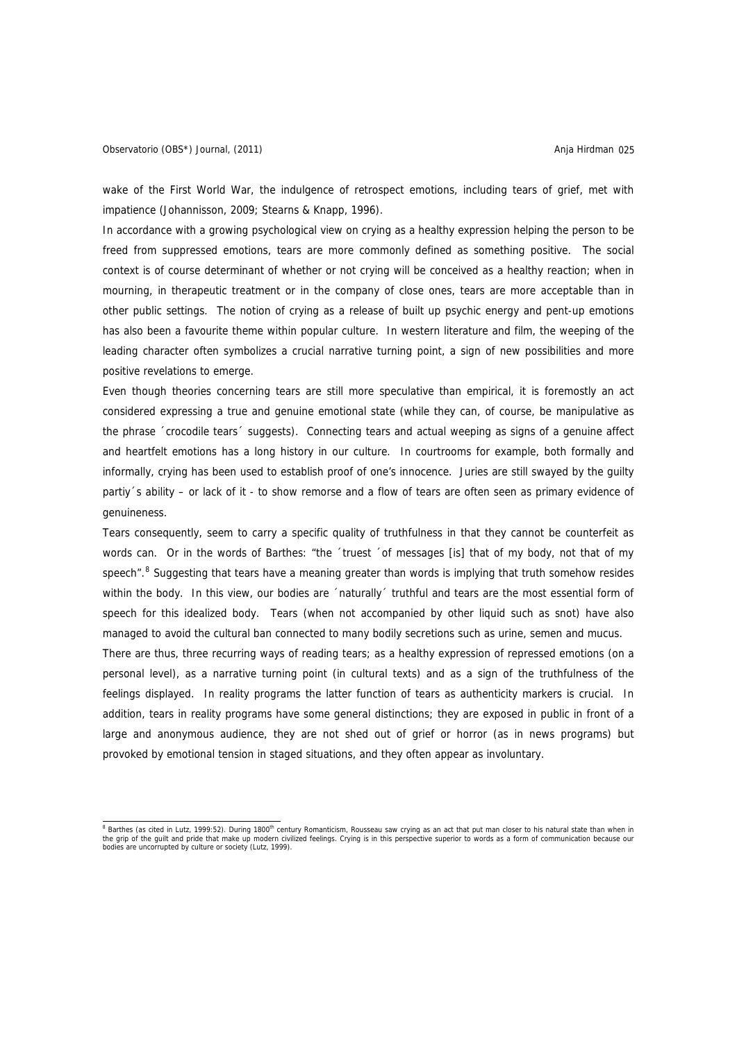## Observatorio (OBS\*) Journal, (2011) **Anja Hirdman 025** anja Hirdman 025

wake of the First World War, the indulgence of retrospect emotions, including tears of grief, met with impatience (Johannisson, 2009; Stearns & Knapp, 1996).

In accordance with a growing psychological view on crying as a healthy expression helping the person to be freed from suppressed emotions, tears are more commonly defined as something positive. The social context is of course determinant of whether or not crying will be conceived as a healthy reaction; when in mourning, in therapeutic treatment or in the company of close ones, tears are more acceptable than in other public settings. The notion of crying as a release of built up psychic energy and pent-up emotions has also been a favourite theme within popular culture. In western literature and film, the weeping of the leading character often symbolizes a crucial narrative turning point, a sign of new possibilities and more positive revelations to emerge.

Even though theories concerning tears are still more speculative than empirical, it is foremostly an act considered expressing a true and genuine emotional state (while they can, of course, be manipulative as the phrase ´crocodile tears´ suggests). Connecting tears and actual weeping as signs of a genuine affect and heartfelt emotions has a long history in our culture. In courtrooms for example, both formally and informally, crying has been used to establish proof of one's innocence. Juries are still swayed by the guilty partiy´s ability – or lack of it - to show remorse and a flow of tears are often seen as primary evidence of genuineness.

Tears consequently, seem to carry a specific quality of truthfulness in that they cannot be counterfeit as words can. Or in the words of Barthes: "the 'truest 'of messages [is] that of my body, not that of my speech".<sup>[8](#page-6-0)</sup> Suggesting that tears have a meaning greater than words is implying that truth somehow resides within the body. In this view, our bodies are 'naturally' truthful and tears are the most essential form of speech for this idealized body. Tears (when not accompanied by other liquid such as snot) have also managed to avoid the cultural ban connected to many bodily secretions such as urine, semen and mucus.

There are thus, three recurring ways of reading tears; as a healthy expression of repressed emotions (on a personal level), as a narrative turning point (in cultural texts) and as a sign of the truthfulness of the feelings displayed. In reality programs the latter function of tears as authenticity markers is crucial. In addition, tears in reality programs have some general distinctions; they are exposed in public in front of a large and anonymous audience, they are not shed out of grief or horror (as in news programs) but provoked by emotional tension in staged situations, and they often appear as involuntary.

<span id="page-6-0"></span><sup>&</sup>lt;sup>8</sup> Barthes (as cited in Lutz, 1999:52). During 1800<sup>th</sup> century Romanticism, Rousseau saw crying as an act that put man closer to his natural state than when in the grip of the guilt and pride that make up modern civilized feelings. Crying is in this perspective superior to words as a form of communication because our bodies are uncorrupted by culture or society (Lutz, 1999).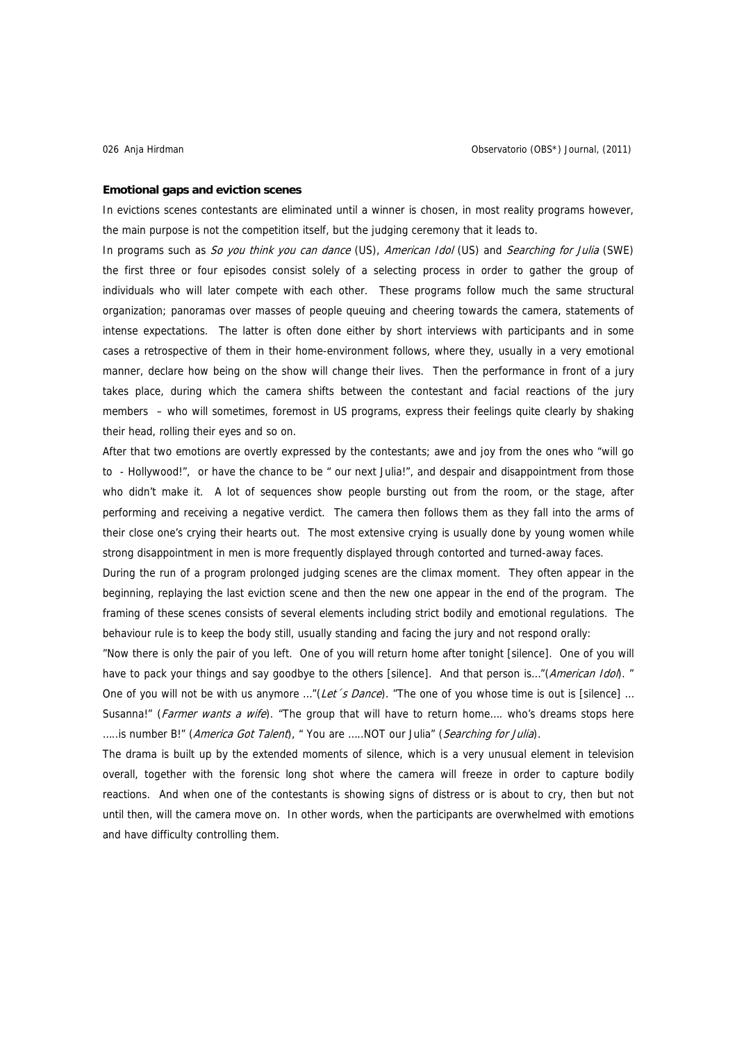#### **Emotional gaps and eviction scenes**

In evictions scenes contestants are eliminated until a winner is chosen, in most reality programs however, the main purpose is not the competition itself, but the judging ceremony that it leads to.

In programs such as So you think you can dance (US), American Idol (US) and Searching for Julia (SWE) the first three or four episodes consist solely of a selecting process in order to gather the group of individuals who will later compete with each other. These programs follow much the same structural organization; panoramas over masses of people queuing and cheering towards the camera, statements of intense expectations. The latter is often done either by short interviews with participants and in some cases a retrospective of them in their home-environment follows, where they, usually in a very emotional manner, declare how being on the show will change their lives. Then the performance in front of a jury takes place, during which the camera shifts between the contestant and facial reactions of the jury members – who will sometimes, foremost in US programs, express their feelings quite clearly by shaking their head, rolling their eyes and so on.

After that two emotions are overtly expressed by the contestants; awe and joy from the ones who "will go to - Hollywood!", or have the chance to be " our next Julia!", and despair and disappointment from those who didn't make it. A lot of sequences show people bursting out from the room, or the stage, after performing and receiving a negative verdict. The camera then follows them as they fall into the arms of their close one's crying their hearts out. The most extensive crying is usually done by young women while strong disappointment in men is more frequently displayed through contorted and turned-away faces.

During the run of a program prolonged judging scenes are the climax moment. They often appear in the beginning, replaying the last eviction scene and then the new one appear in the end of the program. The framing of these scenes consists of several elements including strict bodily and emotional regulations. The behaviour rule is to keep the body still, usually standing and facing the jury and not respond orally:

"Now there is only the pair of you left. One of you will return home after tonight [silence]. One of you will have to pack your things and say goodbye to the others [silence]. And that person is..."(*American Idol*). "

One of you will not be with us anymore ..."(Let s Dance). "The one of you whose time is out is [silence] ... Susanna!" (*Farmer wants a wife*). "The group that will have to return home.... who's dreams stops here .....is number B!" (America Got Talent), " You are .....NOT our Julia" (Searching for Julia).

The drama is built up by the extended moments of silence, which is a very unusual element in television overall, together with the forensic long shot where the camera will freeze in order to capture bodily reactions. And when one of the contestants is showing signs of distress or is about to cry, then but not until then, will the camera move on. In other words, when the participants are overwhelmed with emotions and have difficulty controlling them.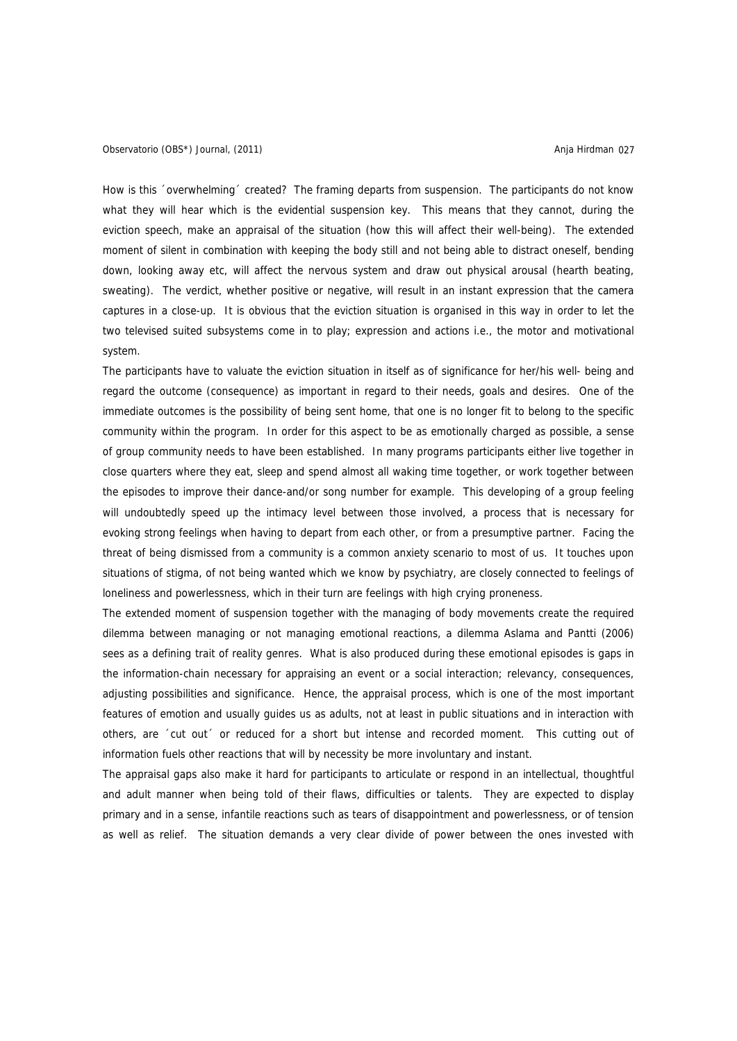How is this ´overwhelming´ created? The framing departs from suspension. The participants do not know what they will hear which is the evidential suspension key. This means that they cannot, during the eviction speech, make an appraisal of the situation (how this will affect their well-being). The extended moment of silent in combination with keeping the body still and not being able to distract oneself, bending down, looking away etc, will affect the nervous system and draw out physical arousal (hearth beating, sweating). The verdict, whether positive or negative, will result in an instant expression that the camera captures in a close-up. It is obvious that the eviction situation is organised in this way in order to let the two televised suited subsystems come in to play; expression and actions i.e., the motor and motivational system.

The participants have to valuate the eviction situation in itself as of significance for her/his well- being and regard the outcome (consequence) as important in regard to their needs, goals and desires. One of the immediate outcomes is the possibility of being sent home, that one is no longer fit to belong to the specific community within the program. In order for this aspect to be as emotionally charged as possible, a sense of group community needs to have been established. In many programs participants either live together in close quarters where they eat, sleep and spend almost all waking time together, or work together between the episodes to improve their dance-and/or song number for example. This developing of a group feeling will undoubtedly speed up the intimacy level between those involved, a process that is necessary for evoking strong feelings when having to depart from each other, or from a presumptive partner. Facing the threat of being dismissed from a community is a common anxiety scenario to most of us. It touches upon situations of stigma, of not being wanted which we know by psychiatry, are closely connected to feelings of loneliness and powerlessness, which in their turn are feelings with high crying proneness.

The extended moment of suspension together with the managing of body movements create the required dilemma between managing or not managing emotional reactions, a dilemma Aslama and Pantti (2006) sees as a defining trait of reality genres. What is also produced during these emotional episodes is gaps in the information-chain necessary for appraising an event or a social interaction; relevancy, consequences, adjusting possibilities and significance. Hence, the appraisal process, which is one of the most important features of emotion and usually guides us as adults, not at least in public situations and in interaction with others, are ´cut out´ or reduced for a short but intense and recorded moment. This cutting out of information fuels other reactions that will by necessity be more involuntary and instant.

The appraisal gaps also make it hard for participants to articulate or respond in an intellectual, thoughtful and adult manner when being told of their flaws, difficulties or talents. They are expected to display primary and in a sense, infantile reactions such as tears of disappointment and powerlessness, or of tension as well as relief. The situation demands a very clear divide of power between the ones invested with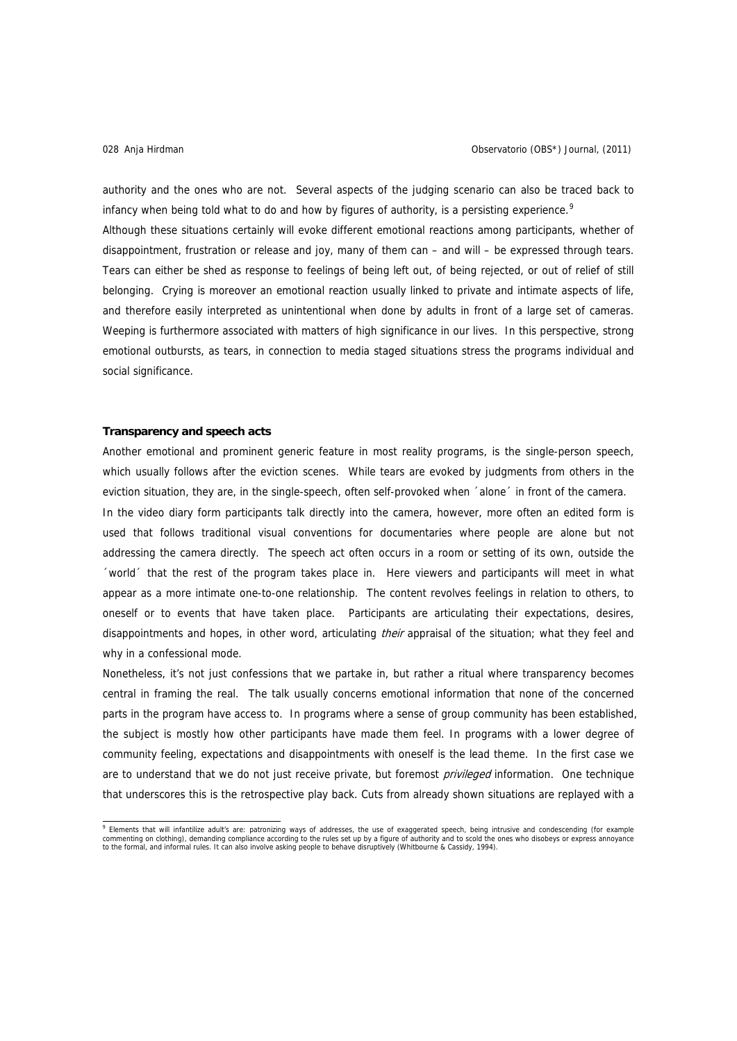authority and the ones who are not. Several aspects of the judging scenario can also be traced back to infancy when being told what to do and how by figures of authority, is a persisting experience.<sup>[9](#page-9-0)</sup> Although these situations certainly will evoke different emotional reactions among participants, whether of disappointment, frustration or release and joy, many of them can – and will – be expressed through tears. Tears can either be shed as response to feelings of being left out, of being rejected, or out of relief of still belonging. Crying is moreover an emotional reaction usually linked to private and intimate aspects of life, and therefore easily interpreted as unintentional when done by adults in front of a large set of cameras. Weeping is furthermore associated with matters of high significance in our lives. In this perspective, strong emotional outbursts, as tears, in connection to media staged situations stress the programs individual and social significance.

## **Transparency and speech acts**

Another emotional and prominent generic feature in most reality programs, is the single-person speech, which usually follows after the eviction scenes. While tears are evoked by judgments from others in the eviction situation, they are, in the single-speech, often self-provoked when ´alone´ in front of the camera. In the video diary form participants talk directly into the camera, however, more often an edited form is used that follows traditional visual conventions for documentaries where people are alone but not addressing the camera directly. The speech act often occurs in a room or setting of its own, outside the ´world´ that the rest of the program takes place in. Here viewers and participants will meet in what appear as a more intimate one-to-one relationship. The content revolves feelings in relation to others, to oneself or to events that have taken place. Participants are articulating their expectations, desires, disappointments and hopes, in other word, articulating *their* appraisal of the situation; what they feel and why in a confessional mode.

Nonetheless, it's not just confessions that we partake in, but rather a ritual where transparency becomes central in framing the real. The talk usually concerns emotional information that none of the concerned parts in the program have access to. In programs where a sense of group community has been established, the subject is mostly how other participants have made them feel. In programs with a lower degree of community feeling, expectations and disappointments with oneself is the lead theme. In the first case we are to understand that we do not just receive private, but foremost *privileged* information. One technique that underscores this is the retrospective play back. Cuts from already shown situations are replayed with a

<span id="page-9-0"></span>e<br>Billements that will infantilize adult's are: patronizing ways of addresses, the use of exaggerated speech, being intrusive and condescending (for example commenting on clothing), demanding compliance according to the rules set up by a figure of authority and to scold the ones who disobeys or express annoyance<br>to the formal, and informal rules. It can also involve asking peo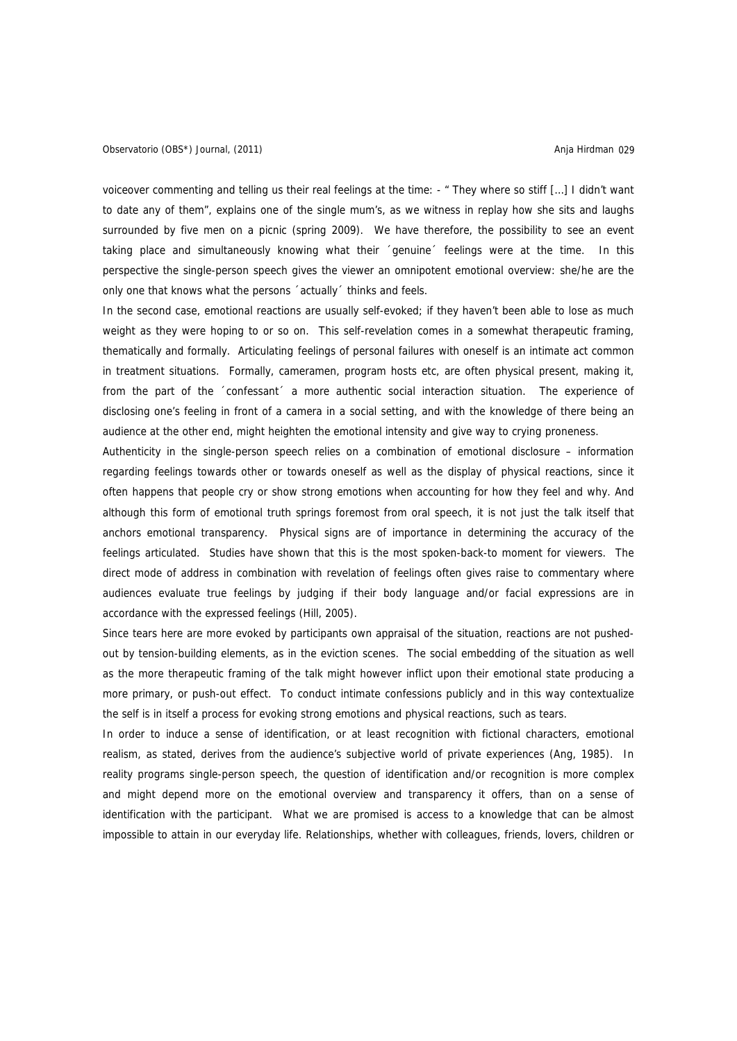voiceover commenting and telling us their real feelings at the time: - " They where so stiff […] I didn't want to date any of them", explains one of the single mum's, as we witness in replay how she sits and laughs surrounded by five men on a picnic (spring 2009). We have therefore, the possibility to see an event taking place and simultaneously knowing what their ´genuine´ feelings were at the time. In this perspective the single-person speech gives the viewer an omnipotent emotional overview: she/he are the only one that knows what the persons ´actually´ thinks and feels.

In the second case, emotional reactions are usually self-evoked; if they haven't been able to lose as much weight as they were hoping to or so on. This self-revelation comes in a somewhat therapeutic framing, thematically and formally. Articulating feelings of personal failures with oneself is an intimate act common in treatment situations. Formally, cameramen, program hosts etc, are often physical present, making it, from the part of the 'confessant' a more authentic social interaction situation. The experience of disclosing one's feeling in front of a camera in a social setting, and with the knowledge of there being an audience at the other end, might heighten the emotional intensity and give way to crying proneness.

Authenticity in the single-person speech relies on a combination of emotional disclosure – information regarding feelings towards other or towards oneself as well as the display of physical reactions, since it often happens that people cry or show strong emotions when accounting for how they feel and why. And although this form of emotional truth springs foremost from oral speech, it is not just the talk itself that anchors emotional transparency. Physical signs are of importance in determining the accuracy of the feelings articulated. Studies have shown that this is the most spoken-back-to moment for viewers. The direct mode of address in combination with revelation of feelings often gives raise to commentary where audiences evaluate true feelings by judging if their body language and/or facial expressions are in accordance with the expressed feelings (Hill, 2005).

Since tears here are more evoked by participants own appraisal of the situation, reactions are not pushedout by tension-building elements, as in the eviction scenes. The social embedding of the situation as well as the more therapeutic framing of the talk might however inflict upon their emotional state producing a more primary, or push-out effect. To conduct intimate confessions publicly and in this way contextualize the self is in itself a process for evoking strong emotions and physical reactions, such as tears.

In order to induce a sense of identification, or at least recognition with fictional characters, emotional realism, as stated, derives from the audience's subjective world of private experiences (Ang, 1985). In reality programs single-person speech, the question of identification and/or recognition is more complex and might depend more on the emotional overview and transparency it offers, than on a sense of identification with the participant. What we are promised is access to a knowledge that can be almost impossible to attain in our everyday life. Relationships, whether with colleagues, friends, lovers, children or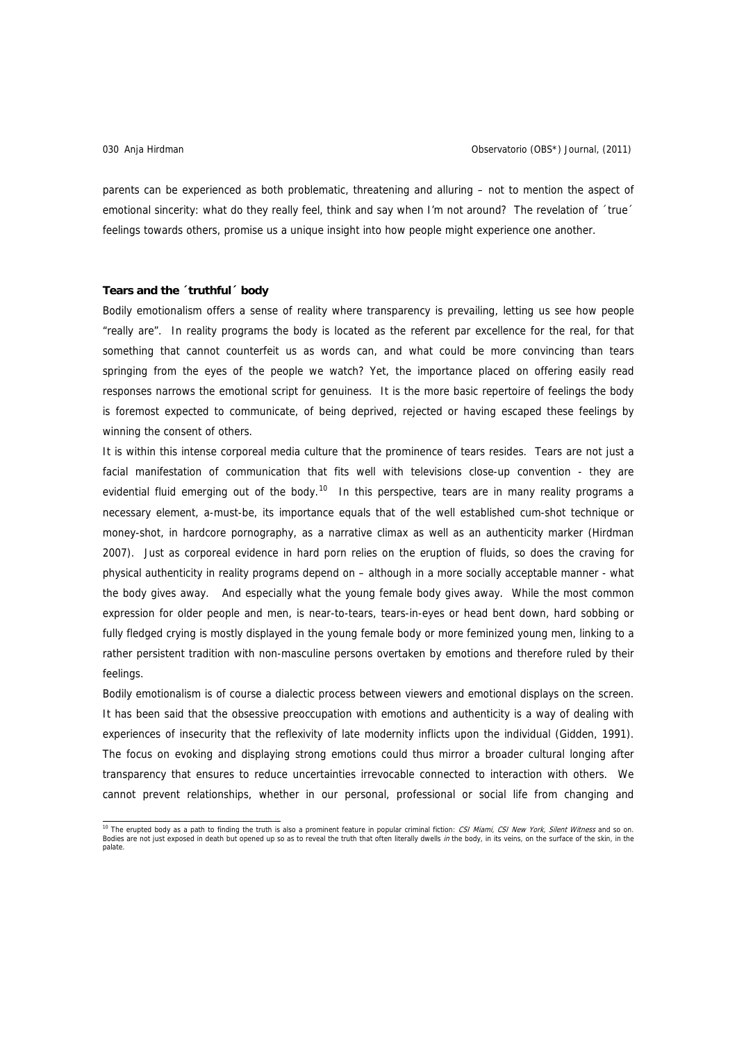parents can be experienced as both problematic, threatening and alluring – not to mention the aspect of emotional sincerity: what do they really feel, think and say when I'm not around? The revelation of 'true' feelings towards others, promise us a unique insight into how people might experience one another.

# **Tears and the ´truthful´ body**

Bodily emotionalism offers a sense of reality where transparency is prevailing, letting us see how people "really are". In reality programs the body is located as the referent par excellence for the real, for that something that cannot counterfeit us as words can, and what could be more convincing than tears springing from the eyes of the people we watch? Yet, the importance placed on offering easily read responses narrows the emotional script for genuiness. It is the more basic repertoire of feelings the body is foremost expected to communicate, of being deprived, rejected or having escaped these feelings by winning the consent of others.

It is within this intense corporeal media culture that the prominence of tears resides. Tears are not just a facial manifestation of communication that fits well with televisions close-up convention - they are evidential fluid emerging out of the body.<sup>[10](#page-11-0)</sup> In this perspective, tears are in many reality programs a necessary element, a-must-be, its importance equals that of the well established cum-shot technique or money-shot, in hardcore pornography, as a narrative climax as well as an authenticity marker (Hirdman 2007). Just as corporeal evidence in hard porn relies on the eruption of fluids, so does the craving for physical authenticity in reality programs depend on – although in a more socially acceptable manner - what the body gives away. And especially what the young female body gives away. While the most common expression for older people and men, is near-to-tears, tears-in-eyes or head bent down, hard sobbing or fully fledged crying is mostly displayed in the young female body or more feminized young men, linking to a rather persistent tradition with non-masculine persons overtaken by emotions and therefore ruled by their feelings.

Bodily emotionalism is of course a dialectic process between viewers and emotional displays on the screen. It has been said that the obsessive preoccupation with emotions and authenticity is a way of dealing with experiences of insecurity that the reflexivity of late modernity inflicts upon the individual (Gidden, 1991). The focus on evoking and displaying strong emotions could thus mirror a broader cultural longing after transparency that ensures to reduce uncertainties irrevocable connected to interaction with others. We cannot prevent relationships, whether in our personal, professional or social life from changing and

<span id="page-11-0"></span><sup>&</sup>lt;sup>10</sup> The erupted body as a path to finding the truth is also a prominent feature in popular criminal fiction: *CSI Miami, CSI New York, Silent Witness* and so on.<br>Bodies are not just exposed in death but opened up so as to palate.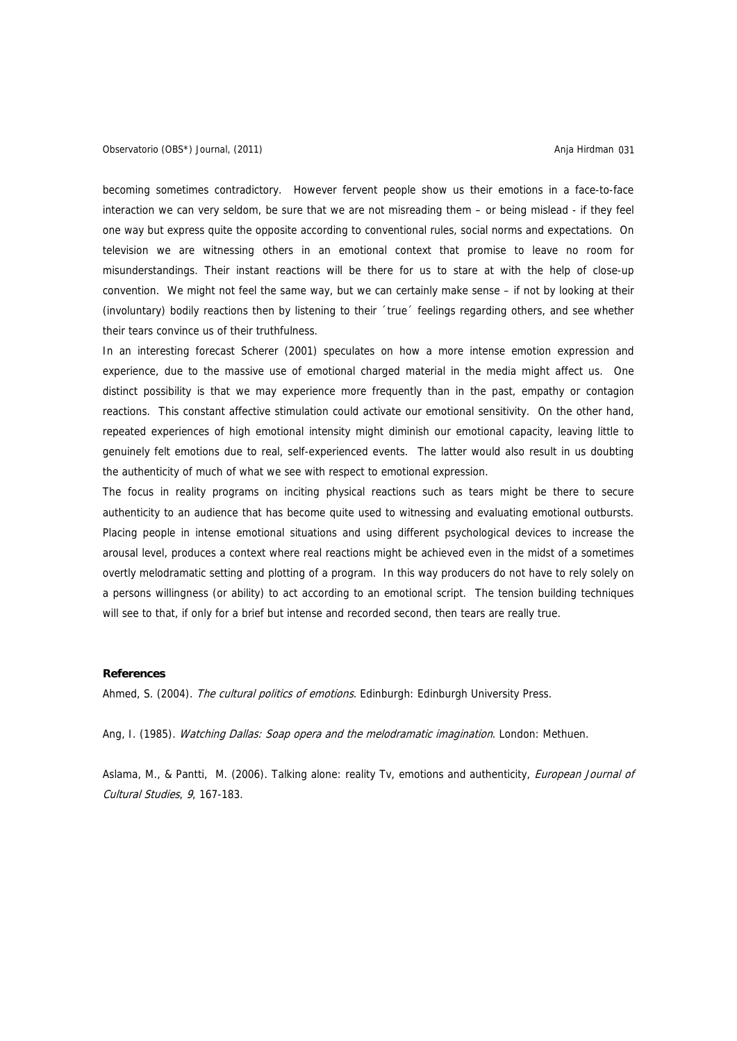becoming sometimes contradictory. However fervent people show us their emotions in a face-to-face interaction we can very seldom, be sure that we are not misreading them – or being mislead - if they feel one way but express quite the opposite according to conventional rules, social norms and expectations. On television we are witnessing others in an emotional context that promise to leave no room for misunderstandings. Their instant reactions will be there for us to stare at with the help of close-up convention. We might not feel the same way, but we can certainly make sense – if not by looking at their (involuntary) bodily reactions then by listening to their ´true´ feelings regarding others, and see whether their tears convince us of their truthfulness.

In an interesting forecast Scherer (2001) speculates on how a more intense emotion expression and experience, due to the massive use of emotional charged material in the media might affect us. One distinct possibility is that we may experience more frequently than in the past, empathy or contagion reactions. This constant affective stimulation could activate our emotional sensitivity. On the other hand, repeated experiences of high emotional intensity might diminish our emotional capacity, leaving little to genuinely felt emotions due to real, self-experienced events. The latter would also result in us doubting the authenticity of much of what we see with respect to emotional expression.

The focus in reality programs on inciting physical reactions such as tears might be there to secure authenticity to an audience that has become quite used to witnessing and evaluating emotional outbursts. Placing people in intense emotional situations and using different psychological devices to increase the arousal level, produces a context where real reactions might be achieved even in the midst of a sometimes overtly melodramatic setting and plotting of a program. In this way producers do not have to rely solely on a persons willingness (or ability) to act according to an emotional script. The tension building techniques will see to that, if only for a brief but intense and recorded second, then tears are really true.

# **References**

Ahmed, S. (2004). The cultural politics of emotions. Edinburgh: Edinburgh University Press.

Ang, I. (1985). Watching Dallas: Soap opera and the melodramatic imagination. London: Methuen.

Aslama, M., & Pantti, M. (2006). Talking alone: reality Tv, emotions and authenticity, European Journal of Cultural Studies, 9, 167-183.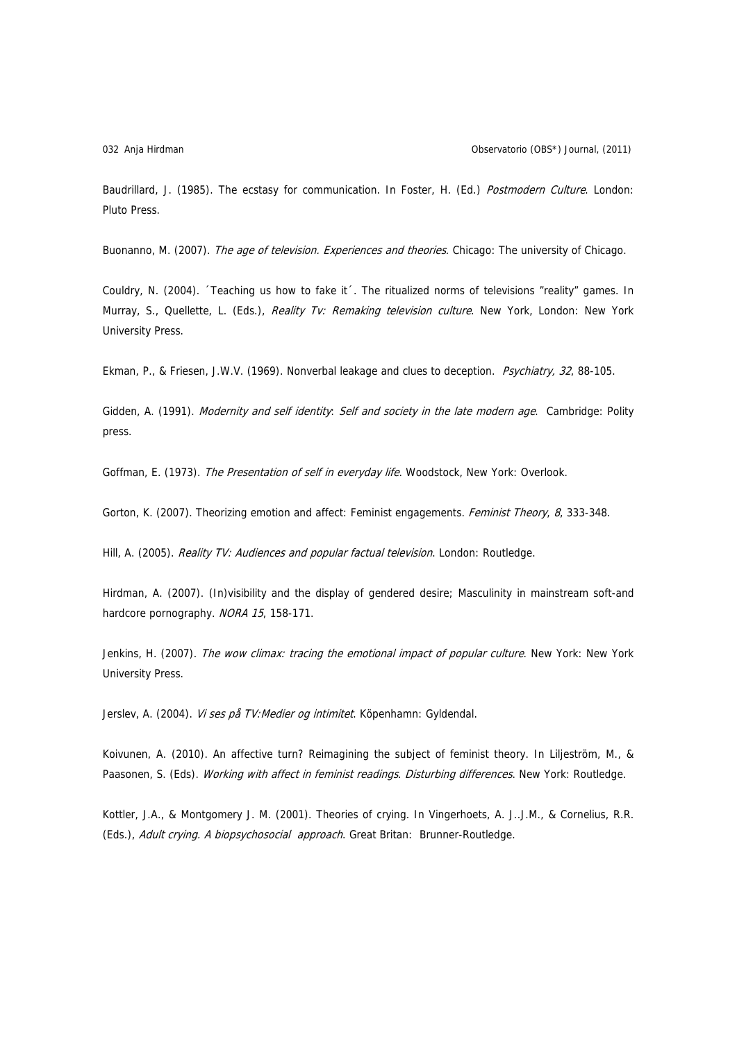Baudrillard, J. (1985). The ecstasy for communication. In Foster, H. (Ed.) Postmodern Culture. London: Pluto Press.

Buonanno, M. (2007). The age of television. Experiences and theories. Chicago: The university of Chicago.

Couldry, N. (2004). ´Teaching us how to fake it´. The ritualized norms of televisions "reality" games. In Murray, S., Quellette, L. (Eds.), Reality Tv: Remaking television culture. New York, London: New York University Press.

Ekman, P., & Friesen, J.W.V. (1969). Nonverbal leakage and clues to deception. Psychiatry, 32, 88-105.

Gidden, A. (1991). Modernity and self identity: Self and society in the late modern age. Cambridge: Polity press.

Goffman, E. (1973). The Presentation of self in everyday life. Woodstock, New York: Overlook.

Gorton, K. (2007). Theorizing emotion and affect: Feminist engagements. Feminist Theory, 8, 333-348.

Hill, A. (2005). Reality TV: Audiences and popular factual television. London: Routledge.

Hirdman, A. (2007). (In)visibility and the display of gendered desire; Masculinity in mainstream soft-and hardcore pornography. NORA 15, 158-171.

Jenkins, H. (2007). The wow climax: tracing the emotional impact of popular culture. New York: New York University Press.

Jerslev, A. (2004). Vi ses på TV: Medier og intimitet. Köpenhamn: Gyldendal.

Koivunen, A. (2010). An affective turn? Reimagining the subject of feminist theory. In Liljeström, M., & Paasonen, S. (Eds). Working with affect in feminist readings. Disturbing differences. New York: Routledge.

Kottler, J.A., & Montgomery J. M. (2001). Theories of crying. In Vingerhoets, A. J..J.M., & Cornelius, R.R. (Eds.), Adult crying. A biopsychosocial approach. Great Britan: Brunner-Routledge.